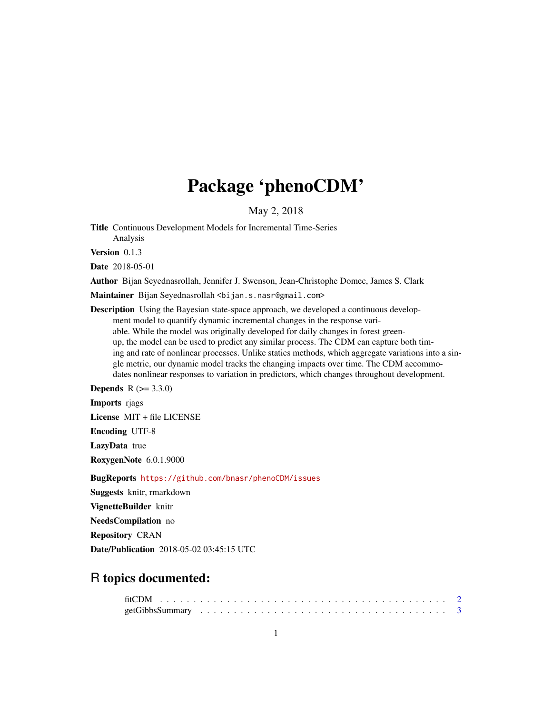## Package 'phenoCDM'

May 2, 2018

Title Continuous Development Models for Incremental Time-Series Analysis

Version 0.1.3

Date 2018-05-01

Author Bijan Seyednasrollah, Jennifer J. Swenson, Jean-Christophe Domec, James S. Clark

Maintainer Bijan Seyednasrollah <br/>bijan.s.nasr@gmail.com>

Description Using the Bayesian state-space approach, we developed a continuous development model to quantify dynamic incremental changes in the response variable. While the model was originally developed for daily changes in forest greenup, the model can be used to predict any similar process. The CDM can capture both timing and rate of nonlinear processes. Unlike statics methods, which aggregate variations into a single metric, our dynamic model tracks the changing impacts over time. The CDM accommodates nonlinear responses to variation in predictors, which changes throughout development.

**Depends**  $R (= 3.3.0)$ 

Imports riags

License MIT + file LICENSE

Encoding UTF-8

LazyData true

RoxygenNote 6.0.1.9000

BugReports <https://github.com/bnasr/phenoCDM/issues>

Suggests knitr, rmarkdown

VignetteBuilder knitr

NeedsCompilation no

Repository CRAN

Date/Publication 2018-05-02 03:45:15 UTC

### R topics documented: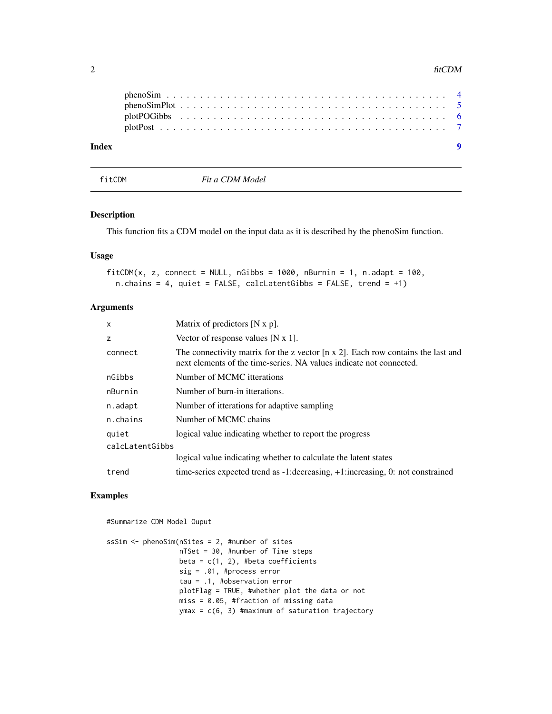<span id="page-1-0"></span>

| Index |  |  |  |  |  |  |  |  |  |  |  |  |  |  |  |  |  |  |
|-------|--|--|--|--|--|--|--|--|--|--|--|--|--|--|--|--|--|--|
|       |  |  |  |  |  |  |  |  |  |  |  |  |  |  |  |  |  |  |
|       |  |  |  |  |  |  |  |  |  |  |  |  |  |  |  |  |  |  |
|       |  |  |  |  |  |  |  |  |  |  |  |  |  |  |  |  |  |  |
|       |  |  |  |  |  |  |  |  |  |  |  |  |  |  |  |  |  |  |

fitCDM *Fit a CDM Model*

#### Description

This function fits a CDM model on the input data as it is described by the phenoSim function.

#### Usage

```
fitCDM(x, z, connect = NULL, nGibbs = 1000, nBurnin = 1, n.adapt = 100,
  n.chains = 4, quiet = FALSE, calcLatentGibbs = FALSE, trend = +1)
```
#### Arguments

| X               | Matrix of predictors $[N x p]$ .                                                                                                                                |
|-----------------|-----------------------------------------------------------------------------------------------------------------------------------------------------------------|
| z               | Vector of response values [N $x$ 1].                                                                                                                            |
| connect         | The connectivity matrix for the z vector $[n \times 2]$ . Each row contains the last and<br>next elements of the time-series. NA values indicate not connected. |
| nGibbs          | Number of MCMC itterations                                                                                                                                      |
| nBurnin         | Number of burn-in itterations.                                                                                                                                  |
| n.adapt         | Number of itterations for adaptive sampling                                                                                                                     |
| n.chains        | Number of MCMC chains                                                                                                                                           |
| quiet           | logical value indicating whether to report the progress                                                                                                         |
| calcLatentGibbs |                                                                                                                                                                 |
|                 | logical value indicating whether to calculate the latent states                                                                                                 |
| trend           | time-series expected trend as -1: decreasing, +1: increasing, 0: not constrained                                                                                |

#### Examples

#Summarize CDM Model Ouput

```
ssSim <- phenoSim(nSites = 2, #number of sites
                 nTSet = 30, #number of Time steps
                 beta = c(1, 2), #beta coefficients
                  sig = .01, #process error
                  tau = .1, #observation error
                 plotFlag = TRUE, #whether plot the data or not
                 miss = 0.05, #fraction of missing data
                 ymax = c(6, 3) #maximum of saturation trajectory
```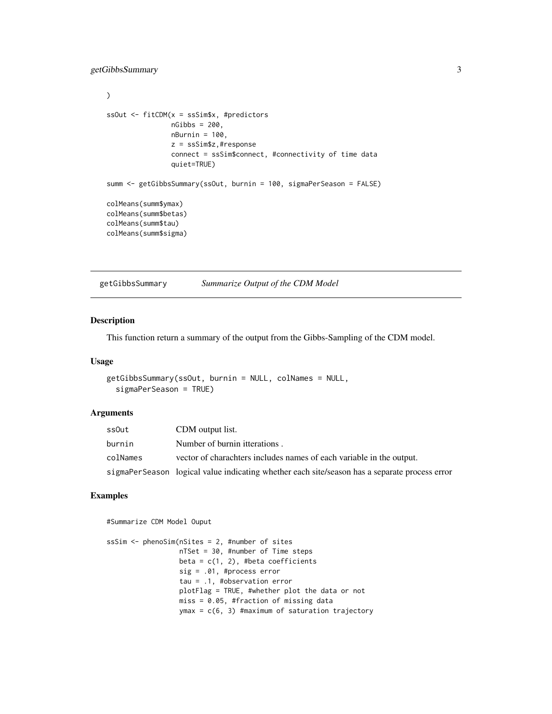```
\mathcal{L}ssOut <- fitCDM(x = ssSim$x, #predictors
                nGibbs = 200,
                nBurnin = 100,
                z = ssSim$z,#response
                connect = ssSim$connect, #connectivity of time data
                quiet=TRUE)
summ <- getGibbsSummary(ssOut, burnin = 100, sigmaPerSeason = FALSE)
colMeans(summ$ymax)
colMeans(summ$betas)
colMeans(summ$tau)
colMeans(summ$sigma)
```
getGibbsSummary *Summarize Output of the CDM Model*

#### Description

This function return a summary of the output from the Gibbs-Sampling of the CDM model.

#### Usage

```
getGibbsSummary(ssOut, burnin = NULL, colNames = NULL,
  sigmaPerSeason = TRUE)
```
#### Arguments

| ssOut    | CDM output list.                                                                              |
|----------|-----------------------------------------------------------------------------------------------|
| burnin   | Number of burnin itterations.                                                                 |
| colNames | vector of charachters includes names of each variable in the output.                          |
|          | sigmaPerSeason logical value indicating whether each site/season has a separate process error |

#### Examples

#Summarize CDM Model Ouput

```
ssSim <- phenoSim(nSites = 2, #number of sites
                 nTSet = 30, #number of Time steps
                 beta = c(1, 2), #beta coefficients
                  sig = .01, #process error
                  tau = .1, #observation error
                  plotFlag = TRUE, #whether plot the data or not
                 miss = 0.05, #fraction of missing data
                  ymax = c(6, 3) #maximum of saturation trajectory
```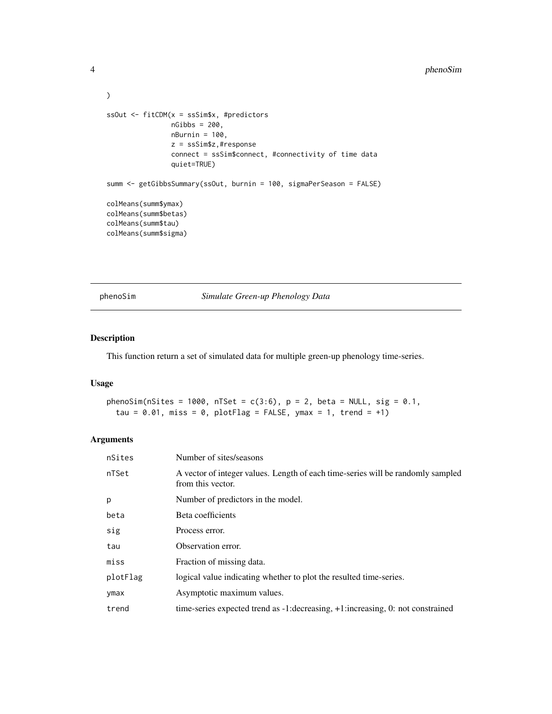#### <span id="page-3-0"></span>4 phenoSim

```
)
ssOut <- fitCDM(x = ssSim$x, #predictors
               nGibbs = 200,nBurnin = 100,
                z = ssSim$z,#response
                connect = ssSim$connect, #connectivity of time data
                quiet=TRUE)
summ <- getGibbsSummary(ssOut, burnin = 100, sigmaPerSeason = FALSE)
colMeans(summ$ymax)
colMeans(summ$betas)
colMeans(summ$tau)
colMeans(summ$sigma)
```
phenoSim *Simulate Green-up Phenology Data*

#### Description

This function return a set of simulated data for multiple green-up phenology time-series.

#### Usage

```
phenoSim(nSites = 1000, nTSet = c(3:6), p = 2, beta = NULL, sig = 0.1,
  tau = 0.01, miss = 0, plotFlag = FALSE, ymax = 1, trend = +1)
```
#### Arguments

| nSites   | Number of sites/seasons                                                                              |
|----------|------------------------------------------------------------------------------------------------------|
| nTSet    | A vector of integer values. Length of each time-series will be randomly sampled<br>from this vector. |
| p        | Number of predictors in the model.                                                                   |
| beta     | Beta coefficients                                                                                    |
| sig      | Process error.                                                                                       |
| tau      | Observation error.                                                                                   |
| miss     | Fraction of missing data.                                                                            |
| plotFlag | logical value indicating whether to plot the resulted time-series.                                   |
| ymax     | Asymptotic maximum values.                                                                           |
| trend    | time-series expected trend as -1: decreasing, +1: increasing, 0: not constrained                     |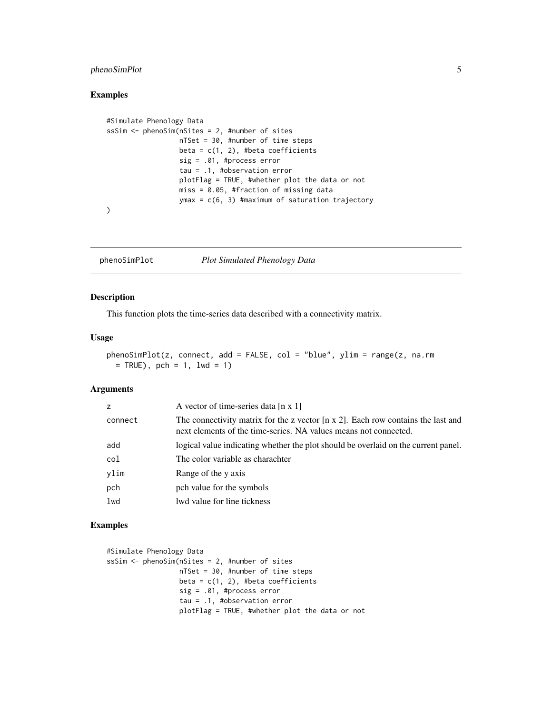#### <span id="page-4-0"></span>phenoSimPlot 5

#### Examples

```
#Simulate Phenology Data
ssSim <- phenoSim(nSites = 2, #number of sites
                 nTSet = 30, #number of time steps
                  beta = c(1, 2), #beta coefficients
                  sig = .01, #process error
                  tau = .1, #observation error
                  plotFlag = TRUE, #whether plot the data or not
                  miss = 0.05, #fraction of missing data
                  ymax = c(6, 3) #maximum of saturation trajectory
)
```
phenoSimPlot *Plot Simulated Phenology Data*

#### Description

This function plots the time-series data described with a connectivity matrix.

#### Usage

```
phenoSimPlot(z, connect, add = FALSE, col = "blue", ylim = range(z, na.rm= TRUE), pch = 1, lwd = 1)
```
#### Arguments

| z       | A vector of time-series data $[n \times 1]$                                                                                                                  |
|---------|--------------------------------------------------------------------------------------------------------------------------------------------------------------|
| connect | The connectivity matrix for the z vector $[n \times 2]$ . Each row contains the last and<br>next elements of the time-series. NA values means not connected. |
| add     | logical value indicating whether the plot should be overlaid on the current panel.                                                                           |
| col     | The color variable as charachter                                                                                                                             |
| vlim    | Range of the y axis                                                                                                                                          |
| pch     | pch value for the symbols                                                                                                                                    |
| lwd     | lwd value for line tickness                                                                                                                                  |
|         |                                                                                                                                                              |

#### Examples

```
#Simulate Phenology Data
ssSim <- phenoSim(nSites = 2, #number of sites
                 nTSet = 30, #number of time steps
                 beta = c(1, 2), #beta coefficients
                  sig = .01, #process error
                  tau = .1, #observation error
                  plotFlag = TRUE, #whether plot the data or not
```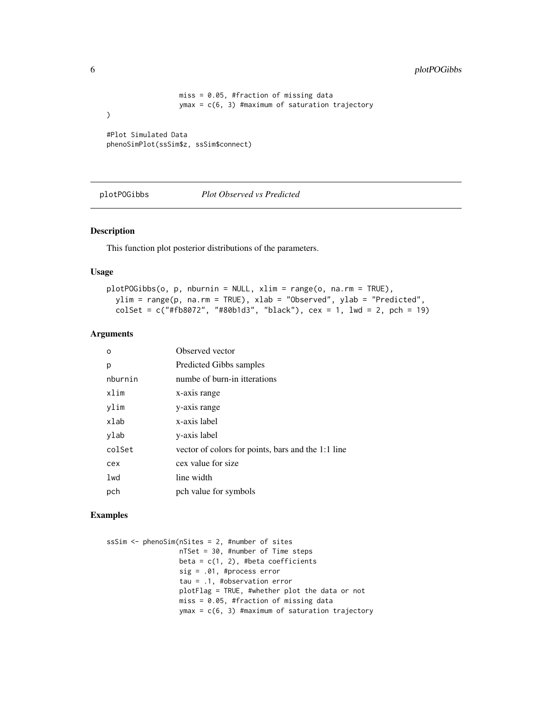```
miss = 0.05, #fraction of missing data
                  ymax = c(6, 3) #maximum of saturation trajectory
)
#Plot Simulated Data
```
phenoSimPlot(ssSim\$z, ssSim\$connect)

plotPOGibbs *Plot Observed vs Predicted*

#### Description

This function plot posterior distributions of the parameters.

#### Usage

```
plotPOGibbs(o, p, nburnin = NULL, xlim = range(o, na.rm = TRUE),
 ylim = range(p, na.rm = TRUE), xlab = "Observed", ylab = "Predicted",
 colSet = c("#fb8072", "#80b1d3", "black"), cex = 1, lwd = 2, pch = 19)
```
#### Arguments

| O       | Observed vector                                    |
|---------|----------------------------------------------------|
| р       | Predicted Gibbs samples                            |
| nburnin | numbe of burn-in itterations                       |
| xlim    | x-axis range                                       |
| ylim    | y-axis range                                       |
| xlab    | x-axis label                                       |
| ylab    | y-axis label                                       |
| colSet  | vector of colors for points, bars and the 1:1 line |
| cex     | cex value for size                                 |
| 1wd     | line width                                         |
| pch     | pch value for symbols                              |

### Examples

| ssSim $\le$ - phenoSim(nSites = 2, #number of sites |
|-----------------------------------------------------|
| $nTSet = 30$ , #number of Time steps                |
| beta = $c(1, 2)$ , #beta coefficients               |
| $sig = .01$ , #process error                        |
| $tau = .1$ , #observation error                     |
| $plotFlag = TRUE,$ #whether plot the data or not    |
| $miss = 0.05$ , #fraction of missing data           |
| $ymax = c(6, 3)$ #maximum of saturation trajectory  |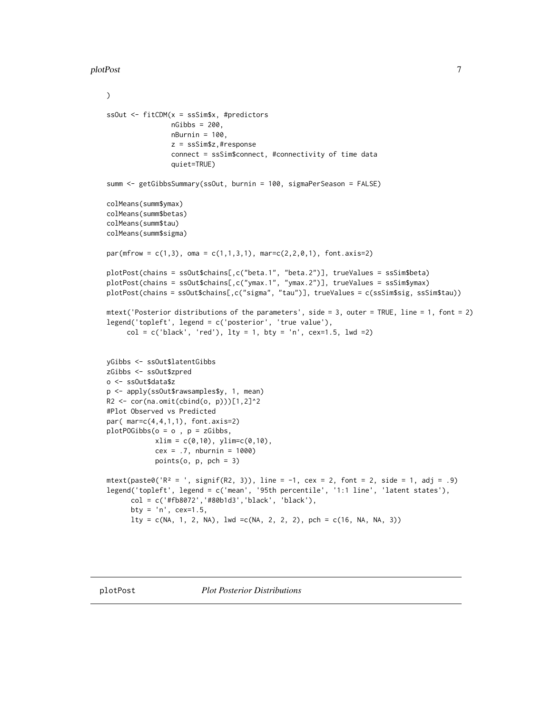#### <span id="page-6-0"></span>plotPost 7 and 2012 12:00 plotPost 7 and 2012 12:00 plotPost 7 and 2012 12:00 plotPost 7 and 2012 12:00 plotPost

)

```
ssOut <- fitCDM(x = ssSim$x, #predictors
                nGibbs = 200,
                nBurnin = 100,
                z = ssSim$z,#response
                connect = ssSim$connect, #connectivity of time data
                quiet=TRUE)
summ <- getGibbsSummary(ssOut, burnin = 100, sigmaPerSeason = FALSE)
colMeans(summ$ymax)
colMeans(summ$betas)
colMeans(summ$tau)
colMeans(summ$sigma)
par(mfrow = c(1,3), oma = c(1,1,3,1), mar=c(2,2,0,1), fontaxis=2)plotPost(chains = ssOut$chains[,c("beta.1", "beta.2")], trueValues = ssSim$beta)
plotPost(chains = ssOut$chains[,c("ymax.1", "ymax.2")], trueValues = ssSim$ymax)
plotPost(chains = ssOut$chains[,c("sigma", "tau")], trueValues = c(ssSim$sig, ssSim$tau))
mtext('Posterior distributions of the parameters', side = 3, outer = TRUE, line = 1, font = 2)
legend('topleft', legend = c('posterior', 'true value'),
     col = c('black', 'red'), 1ty = 1, 0ty = 'n', cex=1.5, 1wd = 2)yGibbs <- ssOut$latentGibbs
zGibbs <- ssOut$zpred
o <- ssOut$data$z
p <- apply(ssOut$rawsamples$y, 1, mean)
R2 \leq cor(na.omit(cbind(o, p)))[1,2]<sup>^2</sup>
#Plot Observed vs Predicted
par( mar=c(4,4,1,1), font.axis=2)
plotPOGibbs(o = o, p = zGibbs,xlim = c(0,10), ylim = c(0,10),cex = .7, nburnin = 1000)
            points(o, p, pch = 3)
mtext(paste0('R<sup>2</sup> = ', signif(R2, 3)), line = -1, cex = 2, font = 2, side = 1, adj = .9)
legend('topleft', legend = c('mean', '95th percentile', '1:1 line', 'latent states'),
      col = c('#fb8072','#80b1d3','black', 'black'),
      bty = 'n', cex=1.5,
      lty = c(NA, 1, 2, NA), lwd = c(NA, 2, 2, 2), pch = c(16, NA, NA, 3))
```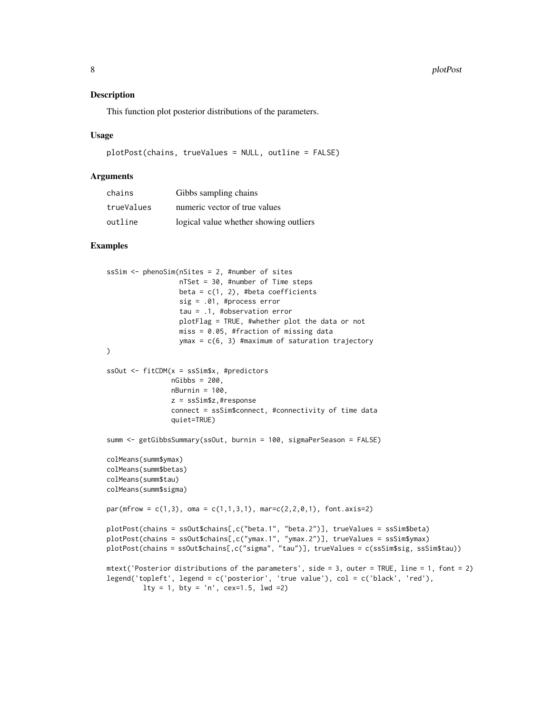#### Description

This function plot posterior distributions of the parameters.

#### Usage

```
plotPost(chains, trueValues = NULL, outline = FALSE)
```
#### Arguments

| chains     | Gibbs sampling chains                  |
|------------|----------------------------------------|
| trueValues | numeric vector of true values          |
| outline    | logical value whether showing outliers |

#### Examples

```
ssSim <- phenoSim(nSites = 2, #number of sites
                 nTSet = 30, #number of Time steps
                  beta = c(1, 2), #beta coefficients
                  sig = .01, #process error
                  tau = .1, #observation error
                  plotFlag = TRUE, #whether plot the data or not
                  miss = 0.05, #fraction of missing data
                  ymax = c(6, 3) #maximum of saturation trajectory
)
ssOut <- fitCDM(x = ssSim$x, #predictors
                nGibbs = 200,
                nBurnin = 100,
                z = ssSim$z,#response
                connect = ssSim$connect, #connectivity of time data
                quiet=TRUE)
summ <- getGibbsSummary(ssOut, burnin = 100, sigmaPerSeason = FALSE)
colMeans(summ$ymax)
colMeans(summ$betas)
colMeans(summ$tau)
colMeans(summ$sigma)
par(mfrow = c(1,3), oma = c(1,1,3,1), mar=c(2,2,0,1), fontaxis=2)plotPost(chains = ssOut$chains[,c("beta.1", "beta.2")], trueValues = ssSim$beta)
plotPost(chains = ssOut$chains[,c("ymax.1", "ymax.2")], trueValues = ssSim$ymax)
plotPost(chains = ssOut$chains[,c("sigma", "tau")], trueValues = c(ssSim$sig, ssSim$tau))
mtext('Posterior distributions of the parameters', side = 3, outer = TRUE, line = 1, font = 2)
legend('topleft', legend = c('posterior', 'true value'), col = c('black', 'red'),
        lty = 1, bty = 'n', cex=1.5, lwd =2)
```